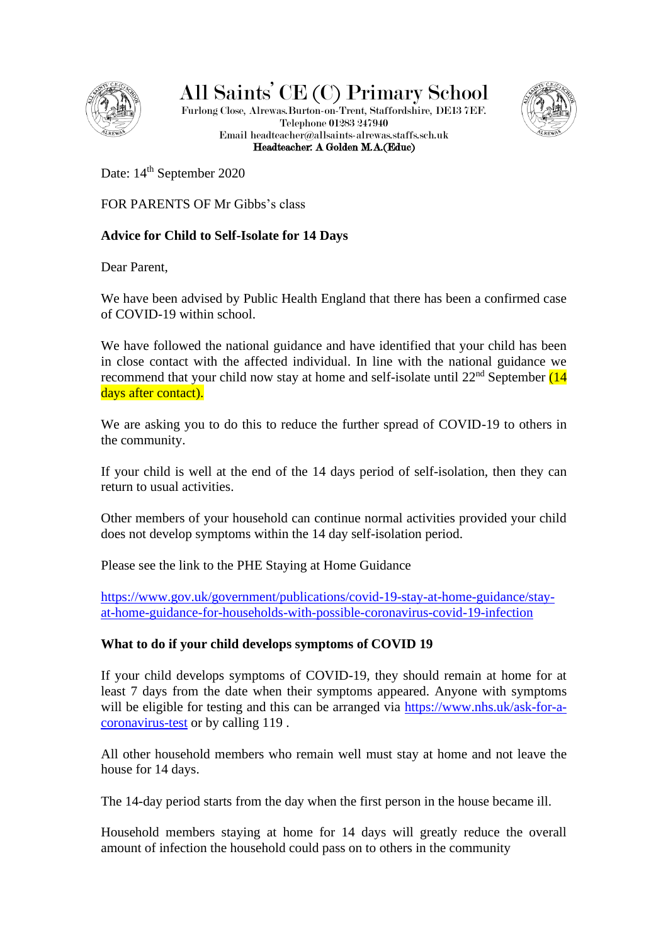

All Saints' CE (C) Primary School

Furlong Close, Alrewas.Burton-on-Trent, Staffordshire, DE13 7EF. Telephone 01283 247940 Email headteacher@allsaints-alrewas.staffs.sch.uk Headteacher: A Golden M.A.(Educ)



Date: 14<sup>th</sup> September 2020

FOR PARENTS OF Mr Gibbs's class

# **Advice for Child to Self-Isolate for 14 Days**

Dear Parent,

We have been advised by Public Health England that there has been a confirmed case of COVID-19 within school.

We have followed the national guidance and have identified that your child has been in close contact with the affected individual. In line with the national guidance we recommend that your child now stay at home and self-isolate until 22<sup>nd</sup> September (14 days after contact).

We are asking you to do this to reduce the further spread of COVID-19 to others in the community.

If your child is well at the end of the 14 days period of self-isolation, then they can return to usual activities.

Other members of your household can continue normal activities provided your child does not develop symptoms within the 14 day self-isolation period.

Please see the link to the PHE Staying at Home Guidance

[https://www.gov.uk/government/publications/covid-19-stay-at-home-guidance/stay](https://www.gov.uk/government/publications/covid-19-stay-at-home-guidance/stay-at-home-guidance-for-households-with-possible-coronavirus-covid-19-infection)[at-home-guidance-for-households-with-possible-coronavirus-covid-19-infection](https://www.gov.uk/government/publications/covid-19-stay-at-home-guidance/stay-at-home-guidance-for-households-with-possible-coronavirus-covid-19-infection)

# **What to do if your child develops symptoms of COVID 19**

If your child develops symptoms of COVID-19, they should remain at home for at least 7 days from the date when their symptoms appeared. Anyone with symptoms will be eligible for testing and this can be arranged via [https://www.nhs.uk/ask-for-a](https://www.nhs.uk/ask-for-a-coronavirus-test)[coronavirus-test](https://www.nhs.uk/ask-for-a-coronavirus-test) or by calling 119 .

All other household members who remain well must stay at home and not leave the house for 14 days.

The 14-day period starts from the day when the first person in the house became ill.

Household members staying at home for 14 days will greatly reduce the overall amount of infection the household could pass on to others in the community